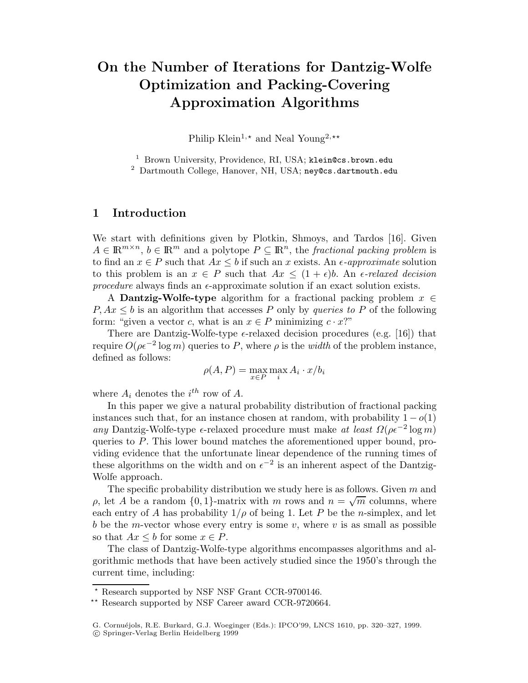# On the Number of Iterations for Dantzig-Wolfe Optimization and Packing-Covering Approximation Algorithms

Philip Klein<sup>1,\*</sup> and Neal Young<sup>2,\*\*</sup>

<sup>1</sup> Brown University, Providence, RI, USA; klein@cs.brown.edu

<sup>2</sup> Dartmouth College, Hanover, NH, USA; ney@cs.dartmouth.edu

# 1 Introduction

We start with definitions given by Plotkin, Shmoys, and Tardos [16]. Given  $A \in \mathbb{R}^{m \times n}$ ,  $b \in \mathbb{R}^m$  and a polytope  $P \subseteq \mathbb{R}^n$ , the fractional packing problem is to find an  $x \in P$  such that  $Ax \leq b$  if such an x exists. An  $\epsilon$ -approximate solution to this problem is an  $x \in P$  such that  $Ax \leq (1+\epsilon)b$ . An  $\epsilon$ -relaxed decision procedure always finds an  $\epsilon$ -approximate solution if an exact solution exists.

A **Dantzig-Wolfe-type** algorithm for a fractional packing problem  $x \in$  $P, Ax \leq b$  is an algorithm that accesses P only by queries to P of the following form: "given a vector c, what is an  $x \in P$  minimizing  $c \cdot x$ ?"

There are Dantzig-Wolfe-type  $\epsilon$ -relaxed decision procedures (e.g. [16]) that require  $O(\rho \epsilon^{-2} \log m)$  queries to P, where  $\rho$  is the *width* of the problem instance, defined as follows:

$$
\rho(A, P) = \max_{x \in P} \max_i A_i \cdot x/b_i
$$

where  $A_i$  denotes the  $i^{th}$  row of A.

In this paper we give a natural probability distribution of fractional packing instances such that, for an instance chosen at random, with probability  $1 - o(1)$ any Dantzig-Wolfe-type  $\epsilon$ -relaxed procedure must make at least  $\Omega(\rho \epsilon^{-2} \log m)$ queries to P. This lower bound matches the aforementioned upper bound, providing evidence that the unfortunate linear dependence of the running times of these algorithms on the width and on  $\epsilon^{-2}$  is an inherent aspect of the Dantzig-Wolfe approach.

The specific probability distribution we study here is as follows. Given  $m$  and ρ, let A be a random  $\{0, 1\}$ -matrix with m rows and  $n = \sqrt{m}$  columns, where each entry of A has probability  $1/\rho$  of being 1. Let P be the n-simplex, and let b be the m-vector whose every entry is some  $v$ , where  $v$  is as small as possible so that  $Ax \leq b$  for some  $x \in P$ .

The class of Dantzig-Wolfe-type algorithms encompasses algorithms and algorithmic methods that have been actively studied since the 1950's through the current time, including:

<sup>!</sup> Research supported by NSF NSF Grant CCR-9700146.

<sup>\*\*</sup> Research supported by NSF Career award CCR-9720664.

G. Cornuéjols, R.E. Burkard, G.J. Woeginger (Eds.): IPCO'99, LNCS 1610, pp. 320-327, 1999.

<sup>\$</sup>c Springer-Verlag Berlin Heidelberg 1999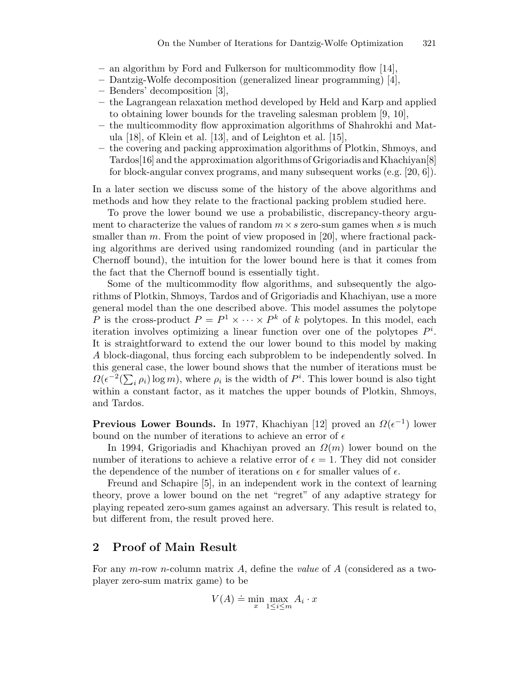- an algorithm by Ford and Fulkerson for multicommodity flow [14],
- Dantzig-Wolfe decomposition (generalized linear programming) [4],
- Benders' decomposition [3],
- the Lagrangean relaxation method developed by Held and Karp and applied to obtaining lower bounds for the traveling salesman problem [9, 10],
- the multicommodity flow approximation algorithms of Shahrokhi and Matula [18], of Klein et al. [13], and of Leighton et al. [15],
- the covering and packing approximation algorithms of Plotkin, Shmoys, and Tardos[16] and the approximation algorithms of Grigoriadis and Khachiyan[8] for block-angular convex programs, and many subsequent works (e.g. [20, 6]).

In a later section we discuss some of the history of the above algorithms and methods and how they relate to the fractional packing problem studied here.

To prove the lower bound we use a probabilistic, discrepancy-theory argument to characterize the values of random  $m \times s$  zero-sum games when s is much smaller than m. From the point of view proposed in [20], where fractional packing algorithms are derived using randomized rounding (and in particular the Chernoff bound), the intuition for the lower bound here is that it comes from the fact that the Chernoff bound is essentially tight.

Some of the multicommodity flow algorithms, and subsequently the algorithms of Plotkin, Shmoys, Tardos and of Grigoriadis and Khachiyan, use a more general model than the one described above. This model assumes the polytope P is the cross-product  $P = P^1 \times \cdots \times P^k$  of k polytopes. In this model, each iteration involves optimizing a linear function over one of the polytopes  $P^i$ . It is straightforward to extend the our lower bound to this model by making A block-diagonal, thus forcing each subproblem to be independently solved. In this general case, the lower bound shows that the number of iterations must be  $\Omega(\epsilon^{-2}(\sum_i \rho_i) \log m)$ , where  $\rho_i$  is the width of  $P^i$ . This lower bound is also tight within a constant factor, as it matches the upper bounds of Plotkin, Shmoys, and Tardos.

**Previous Lower Bounds.** In 1977, Khachiyan [12] proved an  $\Omega(\epsilon^{-1})$  lower bound on the number of iterations to achieve an error of  $\epsilon$ 

In 1994, Grigoriadis and Khachiyan proved an  $\Omega(m)$  lower bound on the number of iterations to achieve a relative error of  $\epsilon = 1$ . They did not consider the dependence of the number of iterations on  $\epsilon$  for smaller values of  $\epsilon$ .

Freund and Schapire [5], in an independent work in the context of learning theory, prove a lower bound on the net "regret" of any adaptive strategy for playing repeated zero-sum games against an adversary. This result is related to, but different from, the result proved here.

## 2 Proof of Main Result

For any m-row n-column matrix A, define the value of A (considered as a twoplayer zero-sum matrix game) to be

$$
V(A) \doteq \min_{x} \max_{1 \le i \le m} A_i \cdot x
$$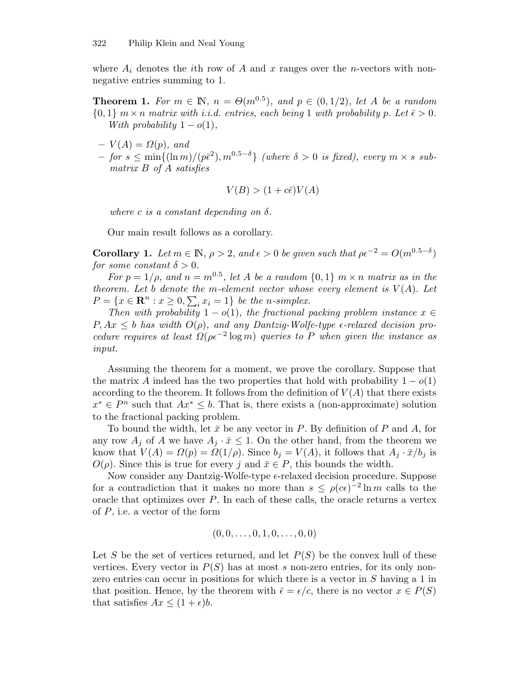where  $A_i$  denotes the *i*th row of A and x ranges over the n-vectors with nonnegative entries summing to 1.

**Theorem 1.** For  $m \in \mathbb{N}$ ,  $n = \Theta(m^{0.5})$ , and  $p \in (0, 1/2)$ , let A be a random  $\{0,1\}$  m × n matrix with i.i.d. entries, each being 1 with probability p. Let  $\bar{\epsilon} > 0$ . With probability  $1-o(1)$ ,

- $-V(A) = \Omega(p)$ , and
- $-$  for  $s \leq \min\{(\ln m)/(\bar{p}\bar{\epsilon}^2), m^{0.5-\delta}\}\$  (where  $\delta > 0$  is fixed), every  $m \times s$  submatrix B of A satisfies

$$
V(B) > (1 + c\bar{\epsilon})V(A)
$$

where c is a constant depending on  $\delta$ .

Our main result follows as a corollary.

**Corollary 1.** Let  $m \in \mathbb{N}$ ,  $\rho > 2$ , and  $\epsilon > 0$  be given such that  $\rho \epsilon^{-2} = O(m^{0.5-\delta})$ for some constant  $\delta > 0$ .

For  $p = 1/\rho$ , and  $n = m^{0.5}$ , let A be a random  $\{0, 1\}$   $m \times n$  matrix as in the theorem. Let b denote the m-element vector whose every element is  $V(A)$ . Let  $P = \{x \in \mathbf{R}^n : x \geq 0, \sum_i x_i = 1\}$  be the n-simplex.

Then with probability  $1 - o(1)$ , the fractional packing problem instance  $x \in$  $P, Ax \leq b$  has width  $O(\rho)$ , and any Dantzig-Wolfe-type  $\epsilon$ -relaxed decision procedure requires at least  $\Omega(\rho \epsilon^{-2} \log m)$  queries to P when given the instance as input.

Assuming the theorem for a moment, we prove the corollary. Suppose that the matrix A indeed has the two properties that hold with probability  $1 - o(1)$ according to the theorem. It follows from the definition of  $V(A)$  that there exists  $x^* \in P^n$  such that  $Ax^* \leq b$ . That is, there exists a (non-approximate) solution to the fractional packing problem.

To bound the width, let  $\bar{x}$  be any vector in P. By definition of P and A, for any row  $A_j$  of A we have  $A_j \cdot \bar{x} \leq 1$ . On the other hand, from the theorem we know that  $V(A) = \Omega(p) = \Omega(1/\rho)$ . Since  $b_j = V(A)$ , it follows that  $A_j \cdot \bar{x}/b_j$  is  $O(\rho)$ . Since this is true for every j and  $\bar{x} \in P$ , this bounds the width.

Now consider any Dantzig-Wolfe-type  $\epsilon$ -relaxed decision procedure. Suppose for a contradiction that it makes no more than  $s \leq \rho(c\epsilon)^{-2} \ln m$  calls to the oracle that optimizes over  $P$ . In each of these calls, the oracle returns a vertex of  $P$ , i.e. a vector of the form

$$
(0,0,\ldots,0,1,0,\ldots,0,0)
$$

Let S be the set of vertices returned, and let  $P(S)$  be the convex hull of these vertices. Every vector in  $P(S)$  has at most s non-zero entries, for its only nonzero entries can occur in positions for which there is a vector in S having a 1 in that position. Hence, by the theorem with  $\bar{\epsilon} = \epsilon/c$ , there is no vector  $x \in P(S)$ that satisfies  $Ax \leq (1+\epsilon)b$ .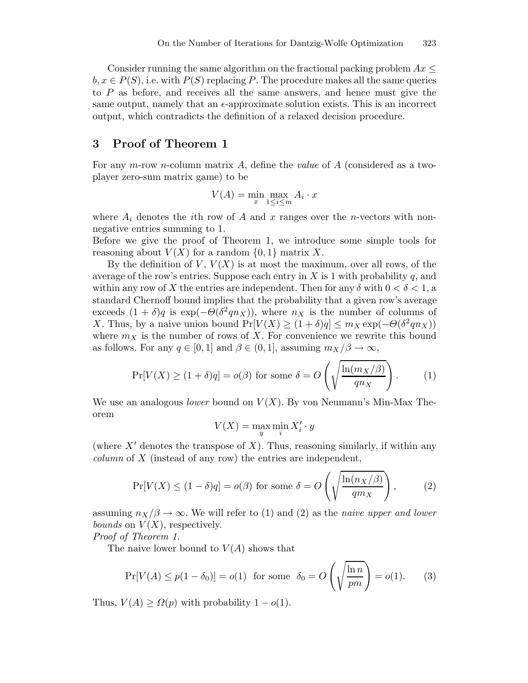Consider running the same algorithm on the fractional packing problem  $Ax \leq$  $b, x \in P(S)$ , i.e. with  $P(S)$  replacing P. The procedure makes all the same queries to P as before, and receives all the same answers, and hence must give the same output, namely that an  $\epsilon$ -approximate solution exists. This is an incorrect output, which contradicts the definition of a relaxed decision procedure.

## 3 Proof of Theorem 1

For any  $m$ -row n-column matrix  $A$ , define the *value* of  $A$  (considered as a twoplayer zero-sum matrix game) to be

$$
V(A) = \min_{x} \max_{1 \le i \le m} A_i \cdot x
$$

where  $A_i$  denotes the *i*th row of A and x ranges over the n-vectors with nonnegative entries summing to 1.

Before we give the proof of Theorem 1, we introduce some simple tools for reasoning about  $V(X)$  for a random  $\{0,1\}$  matrix X.

By the definition of  $V, V(X)$  is at most the maximum, over all rows, of the average of the row's entries. Suppose each entry in  $X$  is 1 with probability  $q$ , and within any row of X the entries are independent. Then for any  $\delta$  with  $0 < \delta < 1$ , a standard Chernoff bound implies that the probability that a given row's average exceeds  $(1 + \delta)q$  is exp( $-\Theta(\delta^2 q n_X)$ ), where  $n_X$  is the number of columns of X. Thus, by a naive union bound  $Pr[V(X] \ge (1 + \delta)q] \le m_X \exp(-\Theta(\delta^2 q n_X))$ where  $m<sub>X</sub>$  is the number of rows of X. For convenience we rewrite this bound as follows. For any  $q \in [0, 1]$  and  $\beta \in (0, 1]$ , assuming  $m_X/\beta \to \infty$ ,

$$
\Pr[V(X) \ge (1+\delta)q] = o(\beta) \text{ for some } \delta = O\left(\sqrt{\frac{\ln(m_X/\beta)}{qn_X}}\right). \tag{1}
$$

We use an analogous *lower* bound on  $V(X)$ . By von Neumann's Min-Max Theorem

$$
V(X) = \max_{y} \min_{i} X'_i \cdot y
$$

(where  $X'$  denotes the transpose of X). Thus, reasoning similarly, if within any column of X (instead of any row) the entries are independent,

$$
\Pr[V(X) \le (1 - \delta)q] = o(\beta) \text{ for some } \delta = O\left(\sqrt{\frac{\ln(n_X/\beta)}{qm_X}}\right),\tag{2}
$$

assuming  $n_X/\beta \to \infty$ . We will refer to (1) and (2) as the *naive upper and lower bounds* on  $V(X)$ , respectively.

Proof of Theorem 1.

The naive lower bound to  $V(A)$  shows that

$$
\Pr[V(A) \le p(1 - \delta_0)] = o(1) \text{ for some } \delta_0 = O\left(\sqrt{\frac{\ln n}{pm}}\right) = o(1). \tag{3}
$$

Thus,  $V(A) \geq \Omega(p)$  with probability  $1 - o(1)$ .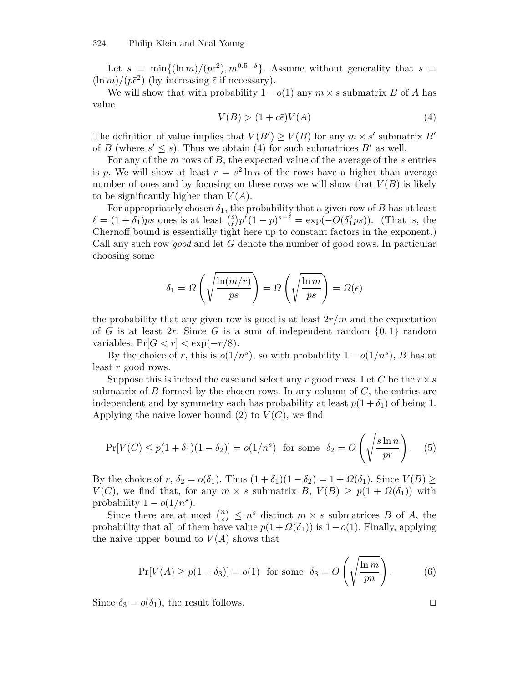Let  $s = \min\{( \ln m)/(\bar{p}\bar{\epsilon}^2), m^{0.5-\delta} \}$ . Assume without generality that  $s =$  $(\ln m)/(\bar{p}\bar{\epsilon}^2)$  (by increasing  $\bar{\epsilon}$  if necessary).

We will show that with probability  $1 - o(1)$  any  $m \times s$  submatrix B of A has value

$$
V(B) > (1 + c\bar{\epsilon})V(A) \tag{4}
$$

The definition of value implies that  $V(B') \ge V(B)$  for any  $m \times s'$  submatrix B' of B (where  $s' \leq s$ ). Thus we obtain (4) for such submatrices B' as well.

For any of the  $m$  rows of  $B$ , the expected value of the average of the  $s$  entries is p. We will show at least  $r = s^2 \ln n$  of the rows have a higher than average number of ones and by focusing on these rows we will show that  $V(B)$  is likely to be significantly higher than  $V(A)$ .

For appropriately chosen  $\delta_1$ , the probability that a given row of B has at least  $\ell = (1 + \delta_1)ps$  ones is at least  $\binom{s}{\ell} p^{\ell} (1-p)^{s-\ell} = \exp(-O(\delta_1^2 ps))$ . (That is, the Chernoff bound is essentially tight here up to constant factors in the exponent.) Call any such row good and let G denote the number of good rows. In particular choosing some

$$
\delta_1 = \Omega \left( \sqrt{\frac{\ln(m/r)}{ps}} \right) = \Omega \left( \sqrt{\frac{\ln m}{ps}} \right) = \Omega(\epsilon)
$$

the probability that any given row is good is at least  $2r/m$  and the expectation of G is at least 2r. Since G is a sum of independent random  $\{0,1\}$  random variables,  $Pr[G < r] < exp(-r/8)$ .

By the choice of r, this is  $o(1/n<sup>s</sup>)$ , so with probability  $1 - o(1/n<sup>s</sup>)$ , B has at least r good rows.

Suppose this is indeed the case and select any r good rows. Let C be the  $r \times s$ submatrix of B formed by the chosen rows. In any column of  $C$ , the entries are independent and by symmetry each has probability at least  $p(1 + \delta_1)$  of being 1. Applying the naive lower bound  $(2)$  to  $V(C)$ , we find

$$
\Pr[V(C) \le p(1+\delta_1)(1-\delta_2)] = o(1/n^s) \text{ for some } \delta_2 = O\left(\sqrt{\frac{\sin n}{pr}}\right). \tag{5}
$$

By the choice of r,  $\delta_2 = o(\delta_1)$ . Thus  $(1 + \delta_1)(1 - \delta_2) = 1 + \Omega(\delta_1)$ . Since  $V(B) \ge$  $V(C)$ , we find that, for any  $m \times s$  submatrix  $B, V(B) \geq p(1 + \Omega(\delta_1))$  with probability  $1 - o(1/n<sup>s</sup>)$ .

Since there are at most  $\binom{n}{s} \leq n^s$  distinct  $m \times s$  submatrices B of A, the probability that all of them have value  $p(1 + \Omega(\delta_1))$  is  $1-o(1)$ . Finally, applying the naive upper bound to  $V(A)$  shows that

$$
\Pr[V(A) \ge p(1+\delta_3)] = o(1) \text{ for some } \delta_3 = O\left(\sqrt{\frac{\ln m}{pn}}\right). \tag{6}
$$

Since  $\delta_3 = o(\delta_1)$ , the result follows.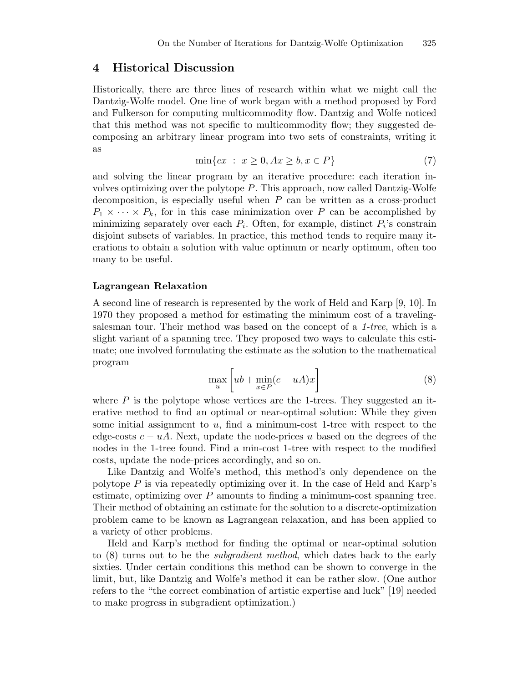### 4 Historical Discussion

Historically, there are three lines of research within what we might call the Dantzig-Wolfe model. One line of work began with a method proposed by Ford and Fulkerson for computing multicommodity flow. Dantzig and Wolfe noticed that this method was not specific to multicommodity flow; they suggested decomposing an arbitrary linear program into two sets of constraints, writing it as

$$
\min\{cx \; : \; x \ge 0, Ax \ge b, x \in P\} \tag{7}
$$

and solving the linear program by an iterative procedure: each iteration involves optimizing over the polytope P. This approach, now called Dantzig-Wolfe decomposition, is especially useful when  $P$  can be written as a cross-product  $P_1 \times \cdots \times P_k$ , for in this case minimization over P can be accomplished by minimizing separately over each  $P_i$ . Often, for example, distinct  $P_i$ 's constrain disjoint subsets of variables. In practice, this method tends to require many iterations to obtain a solution with value optimum or nearly optimum, often too many to be useful.

#### Lagrangean Relaxation

A second line of research is represented by the work of Held and Karp [9, 10]. In 1970 they proposed a method for estimating the minimum cost of a travelingsalesman tour. Their method was based on the concept of a 1-tree, which is a slight variant of a spanning tree. They proposed two ways to calculate this estimate; one involved formulating the estimate as the solution to the mathematical program

$$
\max_{u} \left[ ub + \min_{x \in P} (c - uA)x \right]
$$
 (8)

where  $P$  is the polytope whose vertices are the 1-trees. They suggested an iterative method to find an optimal or near-optimal solution: While they given some initial assignment to  $u$ , find a minimum-cost 1-tree with respect to the edge-costs  $c - uA$ . Next, update the node-prices u based on the degrees of the nodes in the 1-tree found. Find a min-cost 1-tree with respect to the modified costs, update the node-prices accordingly, and so on.

Like Dantzig and Wolfe's method, this method's only dependence on the polytope  $P$  is via repeatedly optimizing over it. In the case of Held and Karp's estimate, optimizing over  $P$  amounts to finding a minimum-cost spanning tree. Their method of obtaining an estimate for the solution to a discrete-optimization problem came to be known as Lagrangean relaxation, and has been applied to a variety of other problems.

Held and Karp's method for finding the optimal or near-optimal solution to (8) turns out to be the subgradient method, which dates back to the early sixties. Under certain conditions this method can be shown to converge in the limit, but, like Dantzig and Wolfe's method it can be rather slow. (One author refers to the "the correct combination of artistic expertise and luck" [19] needed to make progress in subgradient optimization.)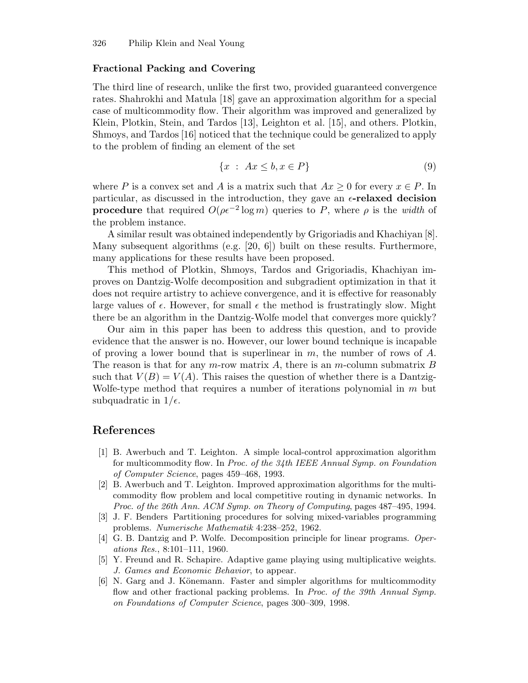#### Fractional Packing and Covering

The third line of research, unlike the first two, provided guaranteed convergence rates. Shahrokhi and Matula [18] gave an approximation algorithm for a special case of multicommodity flow. Their algorithm was improved and generalized by Klein, Plotkin, Stein, and Tardos [13], Leighton et al. [15], and others. Plotkin, Shmoys, and Tardos [16] noticed that the technique could be generalized to apply to the problem of finding an element of the set

$$
\{x : Ax \le b, x \in P\} \tag{9}
$$

where P is a convex set and A is a matrix such that  $Ax \geq 0$  for every  $x \in P$ . In particular, as discussed in the introduction, they gave an  $\epsilon$ -relaxed decision **procedure** that required  $O(\rho \epsilon^{-2} \log m)$  queries to P, where  $\rho$  is the width of the problem instance.

A similar result was obtained independently by Grigoriadis and Khachiyan [8]. Many subsequent algorithms (e.g. [20, 6]) built on these results. Furthermore, many applications for these results have been proposed.

This method of Plotkin, Shmoys, Tardos and Grigoriadis, Khachiyan improves on Dantzig-Wolfe decomposition and subgradient optimization in that it does not require artistry to achieve convergence, and it is effective for reasonably large values of  $\epsilon$ . However, for small  $\epsilon$  the method is frustratingly slow. Might there be an algorithm in the Dantzig-Wolfe model that converges more quickly?

Our aim in this paper has been to address this question, and to provide evidence that the answer is no. However, our lower bound technique is incapable of proving a lower bound that is superlinear in  $m$ , the number of rows of  $A$ . The reason is that for any  $m$ -row matrix  $A$ , there is an  $m$ -column submatrix  $B$ such that  $V(B) = V(A)$ . This raises the question of whether there is a Dantzig-Wolfe-type method that requires a number of iterations polynomial in  $m$  but subquadratic in  $1/\epsilon$ .

## References

- [1] B. Awerbuch and T. Leighton. A simple local-control approximation algorithm for multicommodity flow. In Proc. of the 34th IEEE Annual Symp. on Foundation of Computer Science, pages 459–468, 1993.
- [2] B. Awerbuch and T. Leighton. Improved approximation algorithms for the multicommodity flow problem and local competitive routing in dynamic networks. In Proc. of the 26th Ann. ACM Symp. on Theory of Computing, pages 487–495, 1994.
- [3] J. F. Benders Partitioning procedures for solving mixed-variables programming problems. Numerische Mathematik 4:238–252, 1962.
- [4] G. B. Dantzig and P. Wolfe. Decomposition principle for linear programs. Operations Res., 8:101–111, 1960.
- [5] Y. Freund and R. Schapire. Adaptive game playing using multiplicative weights. J. Games and Economic Behavior, to appear.
- [6] N. Garg and J. Könemann. Faster and simpler algorithms for multicommodity flow and other fractional packing problems. In Proc. of the 39th Annual Symp. on Foundations of Computer Science, pages 300–309, 1998.